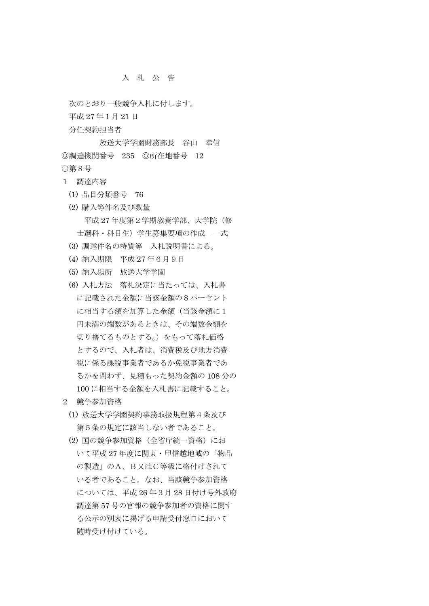## 入 札 公 告

次のとおり一般競争入札に付します。 平成 27 年1月 21 日

分任契約担当者

 放送大学学園財務部長 谷山 幸信 ◎調達機関番号 235 ◎所在地番号 12 ○第8号

- 1 調達内容
	- (1) 品目分類番号 76
	- (2) 購入等件名及び数量 平成 27 年度第2学期教養学部、大学院(修 士選科・科目生)学生募集要項の作成 一式
	- (3) 調達件名の特質等 入札説明書による。
	- (4) 納入期限 平成 27 年6月9日
	- (5) 納入場所 放送大学学園
	- (6) 入札方法 落札決定に当たっては、入札書 に記載された金額に当該金額の8パーセント に相当する額を加算した金額(当該金額に1 円未満の端数があるときは、その端数金額を 切り捨てるものとする。)をもって落札価格 とするので、入札者は、消費税及び地方消費 税に係る課税事業者であるか免税事業者であ るかを問わず、見積もった契約金額の 108 分の 100 に相当する金額を入札書に記載すること。
- 2 競争参加資格
	- (1) 放送大学学園契約事務取扱規程第4条及び 第5条の規定に該当しない者であること。
	- (2) 国の競争参加資格(全省庁統一資格)にお いて平成 27 年度に関東・甲信越地域の「物品 の製造」のA、B又はC等級に格付けされて いる者であること。なお、当該競争参加資格 については、平成 26 年3月 28 日付け号外政府 調達第 57 号の官報の競争参加者の資格に関す る公示の別表に掲げる申請受付窓口において 随時受け付けている。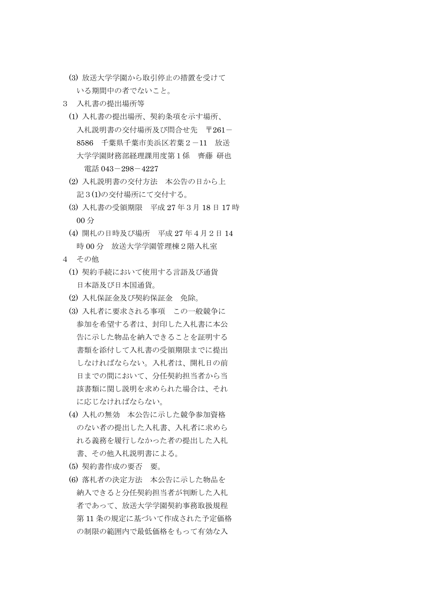- (3) 放送大学学園から取引停止の措置を受けて いる期間中の者でないこと。
- 3 入札書の提出場所等
	- (1) 入札書の提出場所、契約条項を示す場所、 入札説明書の交付場所及び問合せ先 〒261- 8586 千葉県千葉市美浜区若葉2-11 放送 大学学園財務部経理課用度第1係 齊藤 研也 電話 043-298-4227
	- (2) 入札説明書の交付方法 本公告の日から上 記3(1)の交付場所にて交付する。
	- (3) 入札書の受領期限 平成 27 年3月 18 日 17 時 00 分
	- (4) 開札の日時及び場所 平成 27 年4月2日 14 時 00 分 放送大学学園管理棟2階入札室
- 4 その他
	- (1) 契約手続において使用する言語及び通貨 日本語及び日本国通貨。
	- (2) 入札保証金及び契約保証金 免除。
	- (3) 入札者に要求される事項 この一般競争に 参加を希望する者は、封印した入札書に本公 告に示した物品を納入できることを証明する 書類を添付して入札書の受領期限までに提出 しなければならない。入札者は、開札日の前 日までの間において、分任契約担当者から当 該書類に関し説明を求められた場合は、それ に応じなければならない。
	- (4) 入札の無効 本公告に示した競争参加資格 のない者の提出した入札書、入札者に求めら れる義務を履行しなかった者の提出した入札 書、その他入札説明書による。
	- (5) 契約書作成の要否 要。
	- (6) 落札者の決定方法 本公告に示した物品を 納入できると分任契約担当者が判断した入札 者であって、放送大学学園契約事務取扱規程 第 11 条の規定に基づいて作成された予定価格 の制限の範囲内で最低価格をもって有効な入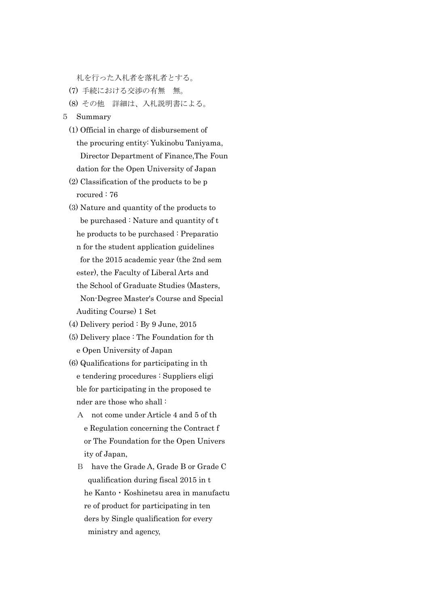札を行った入札者を落札者とする。

- (7) 手続における交渉の有無 無。
- (8) その他 詳細は、入札説明書による。
- 5 Summary
	- (1) Official in charge of disbursement of the procuring entity: Yukinobu Taniyama, Director Department of Finance,The Foun dation for the Open University of Japan
	- (2) Classification of the products to be p rocured : 76
	- (3) Nature and quantity of the products to be purchased : Nature and quantity of t he products to be purchased : Preparatio n for the student application guidelines for the 2015 academic year (the 2nd sem ester), the Faculty of Liberal Arts and the School of Graduate Studies (Masters, Non-Degree Master's Course and Special Auditing Course) 1 Set
	- (4) Delivery period : By 9 June, 2015
	- (5) Delivery place : The Foundation for th e Open University of Japan
	- (6) Qualifications for participating in th e tendering procedures : Suppliers eligi ble for participating in the proposed te nder are those who shall :
		- A not come under Article 4 and 5 of th e Regulation concerning the Contract f or The Foundation for the Open Univers ity of Japan,
		- B have the Grade A, Grade B or Grade C qualification during fiscal 2015 in t he Kanto・Koshinetsu area in manufactu re of product for participating in ten ders by Single qualification for every ministry and agency,